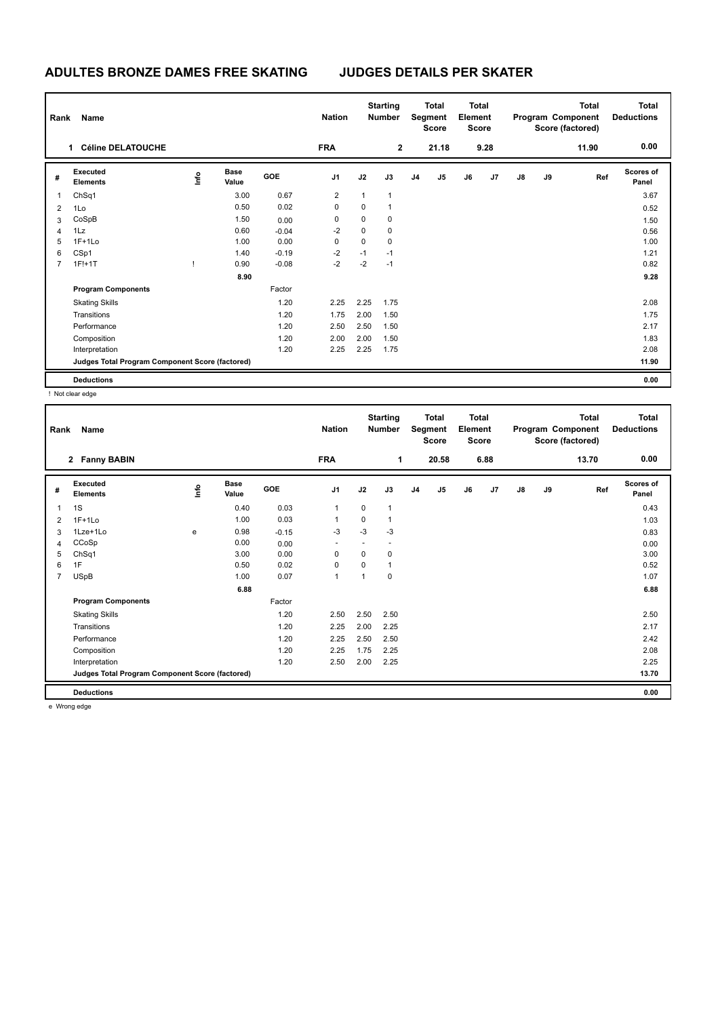## **ADULTES BRONZE DAMES FREE SKATING JUDGES DETAILS PER SKATER**

| Rank | Name                                            |    |                      |         | <b>Nation</b>  |             | <b>Starting</b><br><b>Number</b> | <b>Total</b><br>Segment<br><b>Score</b> |       | <b>Total</b><br>Element<br><b>Score</b> |                | Program Component |    | <b>Total</b><br>Score (factored) | <b>Total</b><br><b>Deductions</b> |
|------|-------------------------------------------------|----|----------------------|---------|----------------|-------------|----------------------------------|-----------------------------------------|-------|-----------------------------------------|----------------|-------------------|----|----------------------------------|-----------------------------------|
|      | <b>Céline DELATOUCHE</b><br>1.                  |    |                      |         | <b>FRA</b>     |             | $\overline{2}$                   |                                         | 21.18 |                                         | 9.28           |                   |    | 11.90                            | 0.00                              |
| #    | Executed<br><b>Elements</b>                     | ۴۵ | <b>Base</b><br>Value | GOE     | J <sub>1</sub> | J2          | J3                               | J <sub>4</sub>                          | J5    | J6                                      | J <sub>7</sub> | $\mathsf{J}8$     | J9 | Ref                              | <b>Scores of</b><br>Panel         |
| 1    | ChSq1                                           |    | 3.00                 | 0.67    | 2              | 1           | $\overline{1}$                   |                                         |       |                                         |                |                   |    |                                  | 3.67                              |
| 2    | 1Lo                                             |    | 0.50                 | 0.02    | 0              | $\mathbf 0$ | 1                                |                                         |       |                                         |                |                   |    |                                  | 0.52                              |
| 3    | CoSpB                                           |    | 1.50                 | 0.00    | 0              | $\mathbf 0$ | 0                                |                                         |       |                                         |                |                   |    |                                  | 1.50                              |
| 4    | 1Lz                                             |    | 0.60                 | $-0.04$ | $-2$           | $\mathbf 0$ | $\mathbf 0$                      |                                         |       |                                         |                |                   |    |                                  | 0.56                              |
| 5    | $1F+1Lo$                                        |    | 1.00                 | 0.00    | 0              | $\mathbf 0$ | $\mathbf 0$                      |                                         |       |                                         |                |                   |    |                                  | 1.00                              |
| 6    | CSp1                                            |    | 1.40                 | $-0.19$ | $-2$           | $-1$        | $-1$                             |                                         |       |                                         |                |                   |    |                                  | 1.21                              |
| 7    | $1F!+1T$                                        |    | 0.90                 | $-0.08$ | $-2$           | $-2$        | $-1$                             |                                         |       |                                         |                |                   |    |                                  | 0.82                              |
|      |                                                 |    | 8.90                 |         |                |             |                                  |                                         |       |                                         |                |                   |    |                                  | 9.28                              |
|      | <b>Program Components</b>                       |    |                      | Factor  |                |             |                                  |                                         |       |                                         |                |                   |    |                                  |                                   |
|      | <b>Skating Skills</b>                           |    |                      | 1.20    | 2.25           | 2.25        | 1.75                             |                                         |       |                                         |                |                   |    |                                  | 2.08                              |
|      | Transitions                                     |    |                      | 1.20    | 1.75           | 2.00        | 1.50                             |                                         |       |                                         |                |                   |    |                                  | 1.75                              |
|      | Performance                                     |    |                      | 1.20    | 2.50           | 2.50        | 1.50                             |                                         |       |                                         |                |                   |    |                                  | 2.17                              |
|      | Composition                                     |    |                      | 1.20    | 2.00           | 2.00        | 1.50                             |                                         |       |                                         |                |                   |    |                                  | 1.83                              |
|      | Interpretation                                  |    |                      | 1.20    | 2.25           | 2.25        | 1.75                             |                                         |       |                                         |                |                   |    |                                  | 2.08                              |
|      | Judges Total Program Component Score (factored) |    |                      |         |                |             |                                  |                                         |       |                                         |                |                   |    |                                  | 11.90                             |
|      | <b>Deductions</b>                               |    |                      |         |                |             |                                  |                                         |       |                                         |                |                   |    |                                  | 0.00                              |

! Not clear edge

| Rank           | Name                                            |      |                      |            | <b>Starting</b><br><b>Nation</b><br><b>Number</b> |                | <b>Total</b><br>Segment<br><b>Score</b> |                | <b>Total</b><br>Element<br><b>Score</b> |    | Program Component<br>Score (factored) |    | <b>Total</b> | <b>Total</b><br><b>Deductions</b> |                    |
|----------------|-------------------------------------------------|------|----------------------|------------|---------------------------------------------------|----------------|-----------------------------------------|----------------|-----------------------------------------|----|---------------------------------------|----|--------------|-----------------------------------|--------------------|
|                | 2 Fanny BABIN                                   |      |                      |            | <b>FRA</b>                                        |                | 1                                       |                | 20.58                                   |    | 6.88                                  |    |              | 13.70                             | 0.00               |
| #              | Executed<br><b>Elements</b>                     | lnfo | <b>Base</b><br>Value | <b>GOE</b> | J <sub>1</sub>                                    | J2             | J3                                      | J <sub>4</sub> | J <sub>5</sub>                          | J6 | J <sub>7</sub>                        | J8 | J9           | Ref                               | Scores of<br>Panel |
| 1              | 1S                                              |      | 0.40                 | 0.03       | 1                                                 | $\mathbf 0$    | $\mathbf{1}$                            |                |                                         |    |                                       |    |              |                                   | 0.43               |
| 2              | $1F+1Lo$                                        |      | 1.00                 | 0.03       | $\mathbf{1}$                                      | $\Omega$       | 1                                       |                |                                         |    |                                       |    |              |                                   | 1.03               |
| 3              | 1Lze+1Lo                                        | e    | 0.98                 | $-0.15$    | $-3$                                              | $-3$           | $-3$                                    |                |                                         |    |                                       |    |              |                                   | 0.83               |
| 4              | CCoSp                                           |      | 0.00                 | 0.00       | $\overline{\phantom{a}}$                          |                | $\overline{\phantom{a}}$                |                |                                         |    |                                       |    |              |                                   | 0.00               |
| 5              | ChSq1                                           |      | 3.00                 | 0.00       | $\mathbf 0$                                       | 0              | 0                                       |                |                                         |    |                                       |    |              |                                   | 3.00               |
| 6              | 1F                                              |      | 0.50                 | 0.02       | $\mathbf 0$                                       | $\Omega$       | 1                                       |                |                                         |    |                                       |    |              |                                   | 0.52               |
| $\overline{7}$ | <b>USpB</b>                                     |      | 1.00                 | 0.07       | $\mathbf{1}$                                      | $\overline{1}$ | 0                                       |                |                                         |    |                                       |    |              |                                   | 1.07               |
|                |                                                 |      | 6.88                 |            |                                                   |                |                                         |                |                                         |    |                                       |    |              |                                   | 6.88               |
|                | <b>Program Components</b>                       |      |                      | Factor     |                                                   |                |                                         |                |                                         |    |                                       |    |              |                                   |                    |
|                | <b>Skating Skills</b>                           |      |                      | 1.20       | 2.50                                              | 2.50           | 2.50                                    |                |                                         |    |                                       |    |              |                                   | 2.50               |
|                | Transitions                                     |      |                      | 1.20       | 2.25                                              | 2.00           | 2.25                                    |                |                                         |    |                                       |    |              |                                   | 2.17               |
|                | Performance                                     |      |                      | 1.20       | 2.25                                              | 2.50           | 2.50                                    |                |                                         |    |                                       |    |              |                                   | 2.42               |
|                | Composition                                     |      |                      | 1.20       | 2.25                                              | 1.75           | 2.25                                    |                |                                         |    |                                       |    |              |                                   | 2.08               |
|                | Interpretation                                  |      |                      | 1.20       | 2.50                                              | 2.00           | 2.25                                    |                |                                         |    |                                       |    |              |                                   | 2.25               |
|                | Judges Total Program Component Score (factored) |      |                      |            |                                                   |                |                                         |                |                                         |    |                                       |    |              |                                   | 13.70              |
|                | <b>Deductions</b>                               |      |                      |            |                                                   |                |                                         |                |                                         |    |                                       |    |              |                                   | 0.00               |
|                |                                                 |      |                      |            |                                                   |                |                                         |                |                                         |    |                                       |    |              |                                   |                    |

e Wrong edge